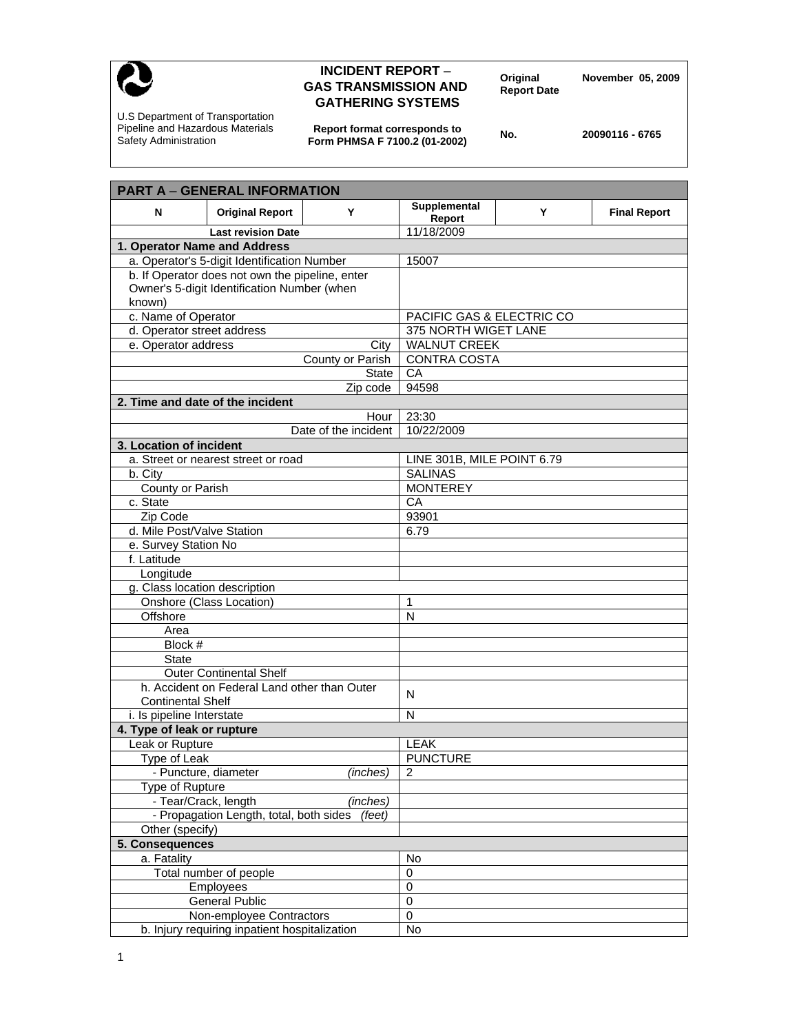

## **INCIDENT REPORT – Original Movember 05, 2009**<br> **GAS TRANSMISSION AND Report Date GATHERING SYSTEMS**

U.S Department of Transportation Pipeline and Hazardous Materials Safety Administration

**Report format corresponds to Form PHMSA F 7100.2 (01-2002) No. 20090116 - 6765** 

| <b>PART A - GENERAL INFORMATION</b>               |                                              |                     |                            |   |                     |
|---------------------------------------------------|----------------------------------------------|---------------------|----------------------------|---|---------------------|
| N                                                 | <b>Original Report</b>                       | Y                   | Supplemental               | Y | <b>Final Report</b> |
|                                                   |                                              |                     | Report                     |   |                     |
|                                                   | <b>Last revision Date</b>                    |                     | 11/18/2009                 |   |                     |
|                                                   | 1. Operator Name and Address                 |                     |                            |   |                     |
| a. Operator's 5-digit Identification Number       |                                              |                     | 15007                      |   |                     |
| b. If Operator does not own the pipeline, enter   |                                              |                     |                            |   |                     |
| Owner's 5-digit Identification Number (when       |                                              |                     |                            |   |                     |
| known)                                            |                                              |                     |                            |   |                     |
| c. Name of Operator                               |                                              |                     | PACIFIC GAS & ELECTRIC CO  |   |                     |
| d. Operator street address                        |                                              |                     | 375 NORTH WIGET LANE       |   |                     |
| e. Operator address<br>City                       |                                              |                     | <b>WALNUT CREEK</b>        |   |                     |
| County or Parish                                  |                                              | <b>CONTRA COSTA</b> |                            |   |                     |
| <b>State</b>                                      |                                              |                     | CA                         |   |                     |
| Zip code<br>2. Time and date of the incident      |                                              |                     | 94598                      |   |                     |
|                                                   |                                              |                     |                            |   |                     |
| Hour                                              |                                              |                     | 23:30                      |   |                     |
| Date of the incident                              |                                              |                     | 10/22/2009                 |   |                     |
| 3. Location of incident                           |                                              |                     |                            |   |                     |
| a. Street or nearest street or road               |                                              |                     | LINE 301B, MILE POINT 6.79 |   |                     |
| b. City                                           |                                              |                     | <b>SALINAS</b>             |   |                     |
| County or Parish                                  |                                              |                     | <b>MONTEREY</b><br>CA      |   |                     |
|                                                   | c. State                                     |                     |                            |   |                     |
| Zip Code                                          |                                              |                     | 93901                      |   |                     |
| d. Mile Post/Valve Station                        |                                              |                     | 6.79                       |   |                     |
| e. Survey Station No                              |                                              |                     |                            |   |                     |
| f. Latitude                                       |                                              |                     |                            |   |                     |
| Longitude                                         |                                              |                     |                            |   |                     |
| g. Class location description                     |                                              |                     |                            |   |                     |
| Onshore (Class Location)                          |                                              |                     | 1                          |   |                     |
| Offshore                                          |                                              |                     | N                          |   |                     |
| Area                                              |                                              |                     |                            |   |                     |
| Block #                                           |                                              |                     |                            |   |                     |
| <b>State</b>                                      |                                              |                     |                            |   |                     |
|                                                   | <b>Outer Continental Shelf</b>               |                     |                            |   |                     |
|                                                   | h. Accident on Federal Land other than Outer |                     | N                          |   |                     |
| <b>Continental Shelf</b>                          |                                              |                     |                            |   |                     |
| i. Is pipeline Interstate                         |                                              |                     | N                          |   |                     |
| 4. Type of leak or rupture                        |                                              |                     |                            |   |                     |
| Leak or Rupture                                   |                                              |                     | LEAK                       |   |                     |
| Type of Leak<br>- Puncture, diameter              |                                              | <b>PUNCTURE</b>     |                            |   |                     |
|                                                   |                                              | (inches)            | 2                          |   |                     |
| Type of Rupture                                   |                                              |                     |                            |   |                     |
| - Tear/Crack, length<br>(inches)                  |                                              |                     |                            |   |                     |
| - Propagation Length, total, both sides<br>(feet) |                                              |                     |                            |   |                     |
| Other (specify)                                   |                                              |                     |                            |   |                     |
| 5. Consequences                                   |                                              |                     |                            |   |                     |
| a. Fatality                                       |                                              |                     | No                         |   |                     |
|                                                   | Total number of people                       |                     | $\pmb{0}$                  |   |                     |
| Employees                                         |                                              | $\pmb{0}$           |                            |   |                     |
| <b>General Public</b>                             |                                              |                     | 0                          |   |                     |
| Non-employee Contractors                          |                                              |                     | 0                          |   |                     |
| b. Injury requiring inpatient hospitalization     |                                              | No                  |                            |   |                     |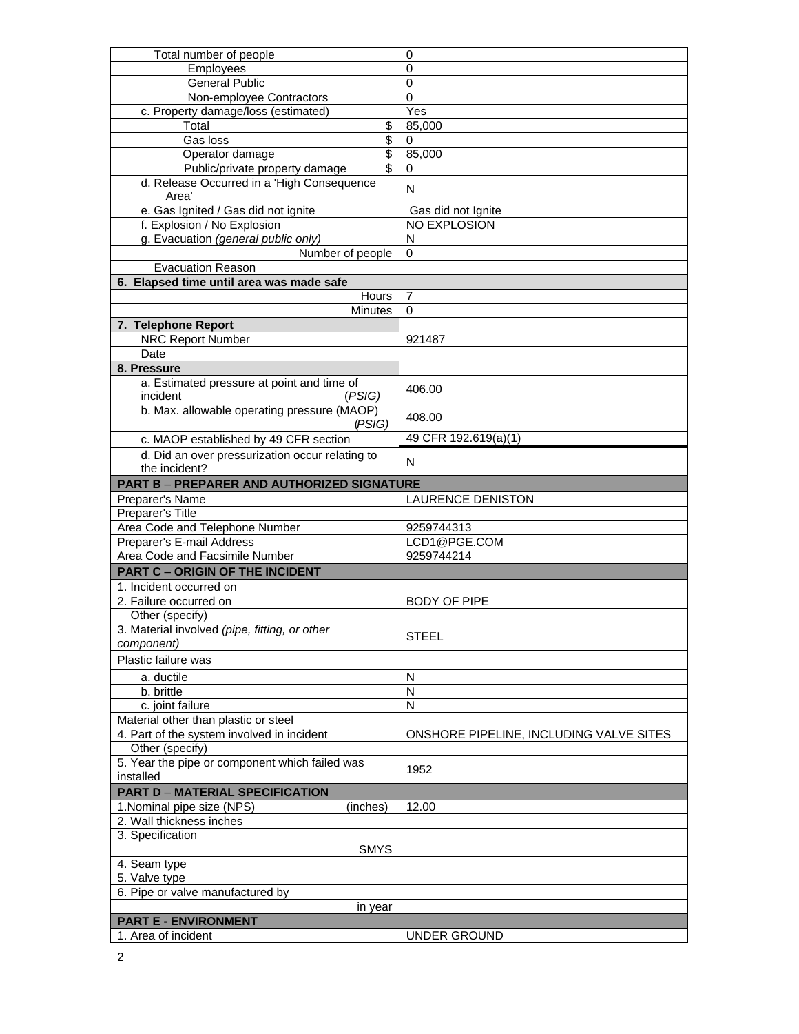| Total number of people                                | 0                                       |
|-------------------------------------------------------|-----------------------------------------|
| Employees                                             | $\mathbf 0$                             |
| <b>General Public</b>                                 | $\mathbf 0$                             |
| Non-employee Contractors                              | 0                                       |
| c. Property damage/loss (estimated)                   | Yes                                     |
| \$<br>Total                                           | 85,000                                  |
| \$<br>Gas loss                                        | 0                                       |
| $\overline{\mathcal{S}}$<br>Operator damage           | 85,000                                  |
| Public/private property damage<br>\$                  | 0                                       |
| d. Release Occurred in a 'High Consequence<br>Area'   | N                                       |
| e. Gas Ignited / Gas did not ignite                   | Gas did not Ignite                      |
| f. Explosion / No Explosion                           | NO EXPLOSION                            |
| g. Evacuation (general public only)                   | N                                       |
| Number of people                                      | 0                                       |
| <b>Evacuation Reason</b>                              |                                         |
| 6. Elapsed time until area was made safe              |                                         |
| Hours                                                 | $\overline{7}$                          |
| <b>Minutes</b>                                        | $\Omega$                                |
| 7. Telephone Report                                   |                                         |
| <b>NRC Report Number</b>                              | 921487                                  |
| Date                                                  |                                         |
| 8. Pressure                                           |                                         |
| a. Estimated pressure at point and time of            |                                         |
| incident<br>(PSIG)                                    | 406.00                                  |
| b. Max. allowable operating pressure (MAOP)<br>(PSIG) | 408.00                                  |
| c. MAOP established by 49 CFR section                 | 49 CFR 192.619(a)(1)                    |
| d. Did an over pressurization occur relating to       |                                         |
| the incident?                                         | N                                       |
| <b>PART B - PREPARER AND AUTHORIZED SIGNATURE</b>     |                                         |
| Preparer's Name                                       | <b>LAURENCE DENISTON</b>                |
| Preparer's Title                                      |                                         |
| Area Code and Telephone Number                        | 9259744313                              |
| Preparer's E-mail Address                             | LCD1@PGE.COM                            |
| Area Code and Facsimile Number                        | 9259744214                              |
| <b>PART C - ORIGIN OF THE INCIDENT</b>                |                                         |
| 1. Incident occurred on                               |                                         |
| 2. Failure occurred on                                | <b>BODY OF PIPE</b>                     |
| Other (specify)                                       |                                         |
| 3. Material involved (pipe, fitting, or other         |                                         |
| component)                                            | <b>STEEL</b>                            |
| Plastic failure was                                   |                                         |
|                                                       |                                         |
| a. ductile                                            | N                                       |
| b. brittle                                            | N                                       |
| c. joint failure                                      | N                                       |
| Material other than plastic or steel                  |                                         |
| 4. Part of the system involved in incident            | ONSHORE PIPELINE, INCLUDING VALVE SITES |
| Other (specify)                                       |                                         |
| 5. Year the pipe or component which failed was        | 1952                                    |
| installed                                             |                                         |
| <b>PART D - MATERIAL SPECIFICATION</b>                |                                         |
| 1. Nominal pipe size (NPS)<br>(inches)                | 12.00                                   |
| 2. Wall thickness inches                              |                                         |
| 3. Specification                                      |                                         |
| <b>SMYS</b>                                           |                                         |
| 4. Seam type                                          |                                         |
| 5. Valve type                                         |                                         |
| 6. Pipe or valve manufactured by                      |                                         |
| in year                                               |                                         |
| <b>PART E - ENVIRONMENT</b>                           |                                         |
| 1. Area of incident                                   | UNDER GROUND                            |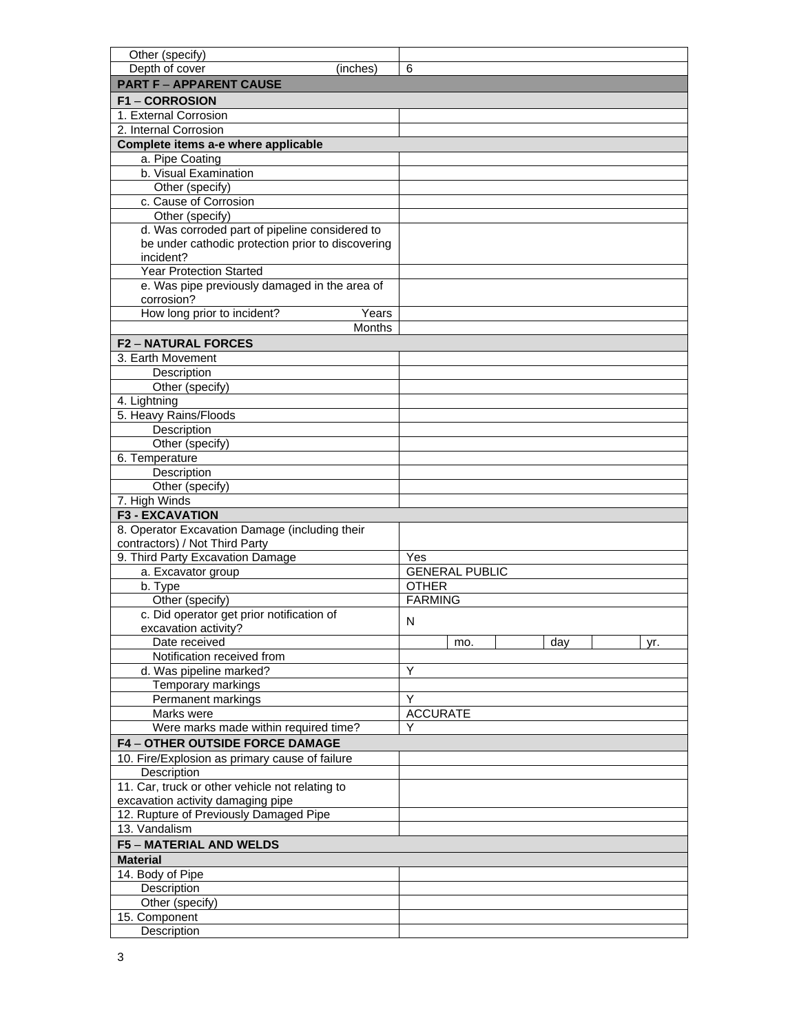| Other (specify)                                   |                       |  |  |  |  |  |
|---------------------------------------------------|-----------------------|--|--|--|--|--|
| Depth of cover<br>(inches)                        | 6                     |  |  |  |  |  |
| <b>PART F - APPARENT CAUSE</b>                    |                       |  |  |  |  |  |
| <b>F1-CORROSION</b>                               |                       |  |  |  |  |  |
| 1. External Corrosion                             |                       |  |  |  |  |  |
| 2. Internal Corrosion                             |                       |  |  |  |  |  |
| Complete items a-e where applicable               |                       |  |  |  |  |  |
| a. Pipe Coating                                   |                       |  |  |  |  |  |
| b. Visual Examination                             |                       |  |  |  |  |  |
| Other (specify)                                   |                       |  |  |  |  |  |
| c. Cause of Corrosion                             |                       |  |  |  |  |  |
| Other (specify)                                   |                       |  |  |  |  |  |
| d. Was corroded part of pipeline considered to    |                       |  |  |  |  |  |
| be under cathodic protection prior to discovering |                       |  |  |  |  |  |
| incident?                                         |                       |  |  |  |  |  |
| <b>Year Protection Started</b>                    |                       |  |  |  |  |  |
| e. Was pipe previously damaged in the area of     |                       |  |  |  |  |  |
| corrosion?                                        |                       |  |  |  |  |  |
| How long prior to incident?<br>Years              |                       |  |  |  |  |  |
| <b>Months</b>                                     |                       |  |  |  |  |  |
| <b>F2-NATURAL FORCES</b>                          |                       |  |  |  |  |  |
| 3. Earth Movement                                 |                       |  |  |  |  |  |
| Description                                       |                       |  |  |  |  |  |
| Other (specify)                                   |                       |  |  |  |  |  |
| 4. Lightning                                      |                       |  |  |  |  |  |
| 5. Heavy Rains/Floods                             |                       |  |  |  |  |  |
| Description                                       |                       |  |  |  |  |  |
| Other (specify)                                   |                       |  |  |  |  |  |
| 6. Temperature                                    |                       |  |  |  |  |  |
| Description                                       |                       |  |  |  |  |  |
| Other (specify)                                   |                       |  |  |  |  |  |
| 7. High Winds                                     |                       |  |  |  |  |  |
| <b>F3 - EXCAVATION</b>                            |                       |  |  |  |  |  |
| 8. Operator Excavation Damage (including their    |                       |  |  |  |  |  |
| contractors) / Not Third Party                    |                       |  |  |  |  |  |
| 9. Third Party Excavation Damage                  | Yes                   |  |  |  |  |  |
| a. Excavator group                                | <b>GENERAL PUBLIC</b> |  |  |  |  |  |
| b. Type                                           | <b>OTHER</b>          |  |  |  |  |  |
| Other (specify)                                   | <b>FARMING</b>        |  |  |  |  |  |
| c. Did operator get prior notification of         | N                     |  |  |  |  |  |
| excavation activity?                              |                       |  |  |  |  |  |
| Date received                                     | day<br>mo.<br>yr.     |  |  |  |  |  |
| Notification received from                        |                       |  |  |  |  |  |
| d. Was pipeline marked?                           | Y                     |  |  |  |  |  |
| Temporary markings                                |                       |  |  |  |  |  |
| Permanent markings                                | Y                     |  |  |  |  |  |
| Marks were                                        | <b>ACCURATE</b>       |  |  |  |  |  |
| Were marks made within required time?             |                       |  |  |  |  |  |
| <b>F4-OTHER OUTSIDE FORCE DAMAGE</b>              |                       |  |  |  |  |  |
| 10. Fire/Explosion as primary cause of failure    |                       |  |  |  |  |  |
| Description                                       |                       |  |  |  |  |  |
| 11. Car, truck or other vehicle not relating to   |                       |  |  |  |  |  |
| excavation activity damaging pipe                 |                       |  |  |  |  |  |
| 12. Rupture of Previously Damaged Pipe            |                       |  |  |  |  |  |
| 13. Vandalism                                     |                       |  |  |  |  |  |
| <b>F5 - MATERIAL AND WELDS</b>                    |                       |  |  |  |  |  |
| <b>Material</b>                                   |                       |  |  |  |  |  |
| 14. Body of Pipe                                  |                       |  |  |  |  |  |
| Description                                       |                       |  |  |  |  |  |
| Other (specify)                                   |                       |  |  |  |  |  |
| 15. Component                                     |                       |  |  |  |  |  |
| Description                                       |                       |  |  |  |  |  |
|                                                   |                       |  |  |  |  |  |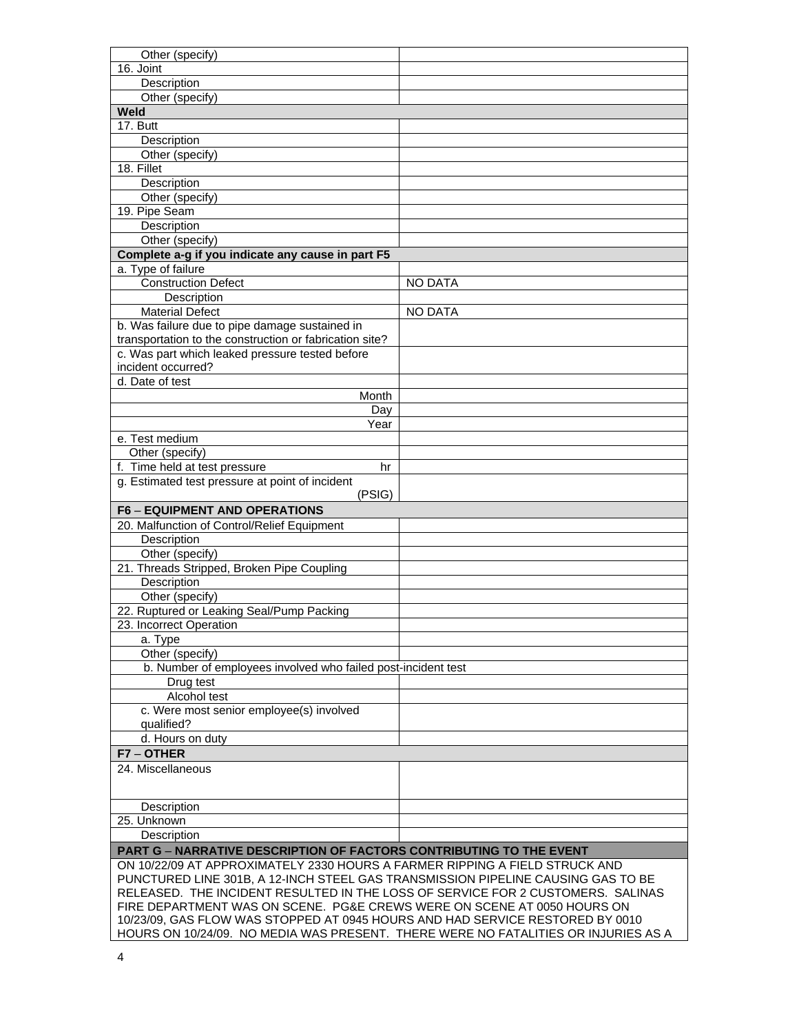| Other (specify)                                                                  |                |
|----------------------------------------------------------------------------------|----------------|
| 16. Joint                                                                        |                |
| Description                                                                      |                |
| Other (specify)                                                                  |                |
| Weld                                                                             |                |
| 17. Butt                                                                         |                |
| Description                                                                      |                |
| Other (specify)                                                                  |                |
| 18. Fillet                                                                       |                |
| Description                                                                      |                |
| Other (specify)                                                                  |                |
| 19. Pipe Seam                                                                    |                |
| Description                                                                      |                |
| Other (specify)                                                                  |                |
| Complete a-g if you indicate any cause in part F5                                |                |
| a. Type of failure                                                               |                |
| <b>Construction Defect</b>                                                       | <b>NO DATA</b> |
| Description                                                                      |                |
| <b>Material Defect</b>                                                           | <b>NO DATA</b> |
| b. Was failure due to pipe damage sustained in                                   |                |
| transportation to the construction or fabrication site?                          |                |
| c. Was part which leaked pressure tested before                                  |                |
|                                                                                  |                |
| incident occurred?<br>d. Date of test                                            |                |
|                                                                                  |                |
| Month                                                                            |                |
| Day                                                                              |                |
| Year                                                                             |                |
| e. Test medium                                                                   |                |
| Other (specify)                                                                  |                |
| f. Time held at test pressure<br>hr                                              |                |
| g. Estimated test pressure at point of incident                                  |                |
| (PSIG)                                                                           |                |
| <b>F6 - EQUIPMENT AND OPERATIONS</b>                                             |                |
| 20. Malfunction of Control/Relief Equipment                                      |                |
| Description                                                                      |                |
| Other (specify)                                                                  |                |
| 21. Threads Stripped, Broken Pipe Coupling                                       |                |
| Description                                                                      |                |
| Other (specify)                                                                  |                |
| 22. Ruptured or Leaking Seal/Pump Packing                                        |                |
| 23. Incorrect Operation                                                          |                |
| a. Type                                                                          |                |
| Other (specify)                                                                  |                |
| b. Number of employees involved who failed post-incident test                    |                |
| Drug test                                                                        |                |
| Alcohol test                                                                     |                |
| c. Were most senior employee(s) involved                                         |                |
| qualified?                                                                       |                |
| d. Hours on duty                                                                 |                |
| F7-OTHER                                                                         |                |
|                                                                                  |                |
| 24. Miscellaneous                                                                |                |
|                                                                                  |                |
|                                                                                  |                |
| Description                                                                      |                |
| 25. Unknown                                                                      |                |
| Description                                                                      |                |
| <b>PART G - NARRATIVE DESCRIPTION OF FACTORS CONTRIBUTING TO THE EVENT</b>       |                |
| ON 10/22/09 AT APPROXIMATELY 2330 HOURS A FARMER RIPPING A FIELD STRUCK AND      |                |
| PUNCTURED LINE 301B, A 12-INCH STEEL GAS TRANSMISSION PIPELINE CAUSING GAS TO BE |                |
| RELEASED. THE INCIDENT RESULTED IN THE LOSS OF SERVICE FOR 2 CUSTOMERS. SALINAS  |                |
| FIRE DEPARTMENT WAS ON SCENE. PG&E CREWS WERE ON SCENE AT 0050 HOURS ON          |                |
| 10/23/09, GAS FLOW WAS STOPPED AT 0945 HOURS AND HAD SERVICE RESTORED BY 0010    |                |